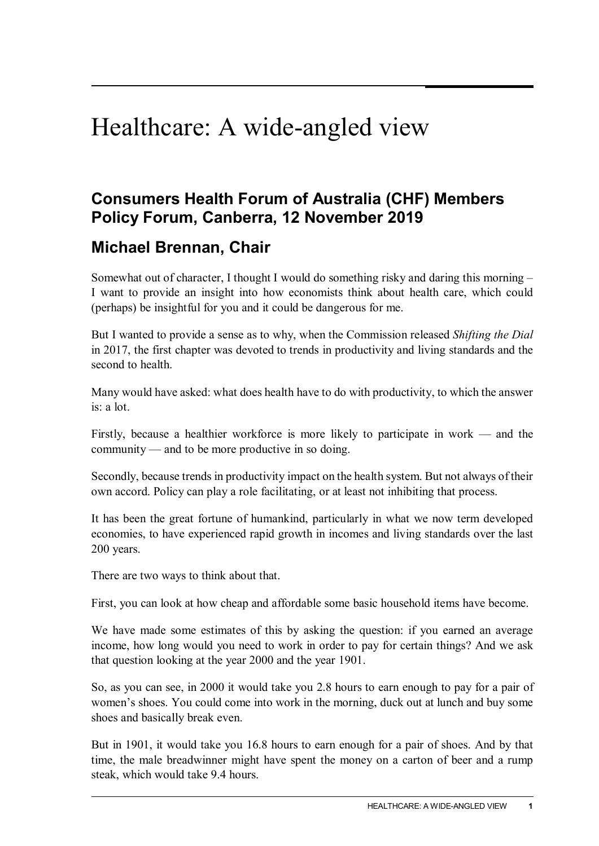## Healthcare: A wide-angled view

## **Consumers Health Forum of Australia (CHF) Members Policy Forum, Canberra, 12 November 2019**

## **Michael Brennan, Chair**

Somewhat out of character, I thought I would do something risky and daring this morning – I want to provide an insight into how economists think about health care, which could (perhaps) be insightful for you and it could be dangerous for me.

But I wanted to provide a sense as to why, when the Commission released *Shifting the Dial* in 2017, the first chapter was devoted to trends in productivity and living standards and the second to health.

Many would have asked: what does health have to do with productivity, to which the answer  $i$ s: a lot.

Firstly, because a healthier workforce is more likely to participate in work — and the community — and to be more productive in so doing.

Secondly, because trends in productivity impact on the health system. But not always of their own accord. Policy can play a role facilitating, or at least not inhibiting that process.

It has been the great fortune of humankind, particularly in what we now term developed economies, to have experienced rapid growth in incomes and living standards over the last 200 years.

There are two ways to think about that.

First, you can look at how cheap and affordable some basic household items have become.

We have made some estimates of this by asking the question: if you earned an average income, how long would you need to work in order to pay for certain things? And we ask that question looking at the year 2000 and the year 1901.

So, as you can see, in 2000 it would take you 2.8 hours to earn enough to pay for a pair of women's shoes. You could come into work in the morning, duck out at lunch and buy some shoes and basically break even.

But in 1901, it would take you 16.8 hours to earn enough for a pair of shoes. And by that time, the male breadwinner might have spent the money on a carton of beer and a rump steak, which would take 9.4 hours.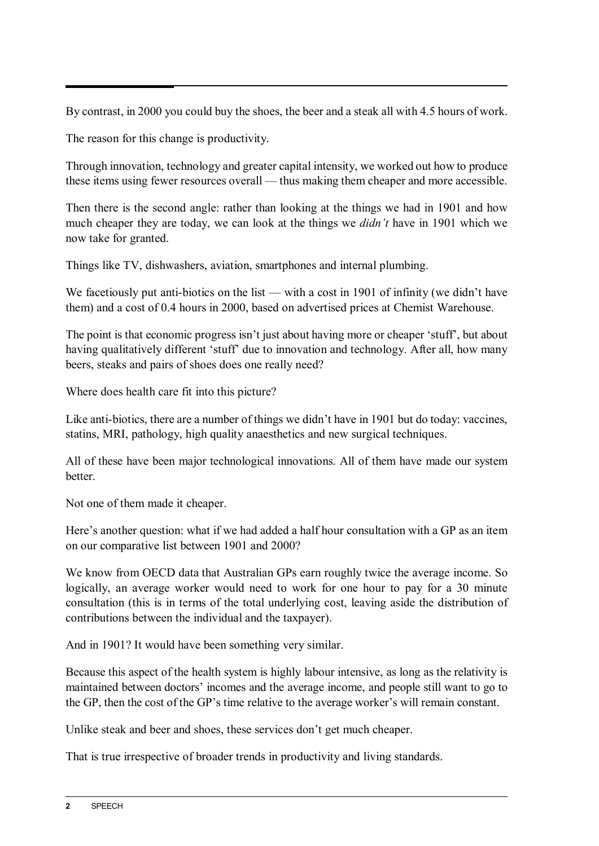By contrast, in 2000 you could buy the shoes, the beer and a steak all with 4.5 hours of work.

The reason for this change is productivity.

Through innovation, technology and greater capital intensity, we worked out how to produce these items using fewer resources overall — thus making them cheaper and more accessible.

Then there is the second angle: rather than looking at the things we had in 1901 and how much cheaper they are today, we can look at the things we *didn't* have in 1901 which we now take for granted.

Things like TV, dishwashers, aviation, smartphones and internal plumbing.

We facetiously put anti-biotics on the list — with a cost in 1901 of infinity (we didn't have them) and a cost of 0.4 hours in 2000, based on advertised prices at Chemist Warehouse.

The point is that economic progress isn't just about having more or cheaper 'stuff', but about having qualitatively different 'stuff' due to innovation and technology. After all, how many beers, steaks and pairs of shoes does one really need?

Where does health care fit into this picture?

Like anti-biotics, there are a number of things we didn't have in 1901 but do today: vaccines, statins, MRI, pathology, high quality anaesthetics and new surgical techniques.

All of these have been major technological innovations. All of them have made our system better.

Not one of them made it cheaper.

Here's another question: what if we had added a half hour consultation with a GP as an item on our comparative list between 1901 and 2000?

We know from OECD data that Australian GPs earn roughly twice the average income. So logically, an average worker would need to work for one hour to pay for a 30 minute consultation (this is in terms of the total underlying cost, leaving aside the distribution of contributions between the individual and the taxpayer).

And in 1901? It would have been something very similar.

Because this aspect of the health system is highly labour intensive, as long as the relativity is maintained between doctors' incomes and the average income, and people still want to go to the GP, then the cost of the GP's time relative to the average worker's will remain constant.

Unlike steak and beer and shoes, these services don't get much cheaper.

That is true irrespective of broader trends in productivity and living standards.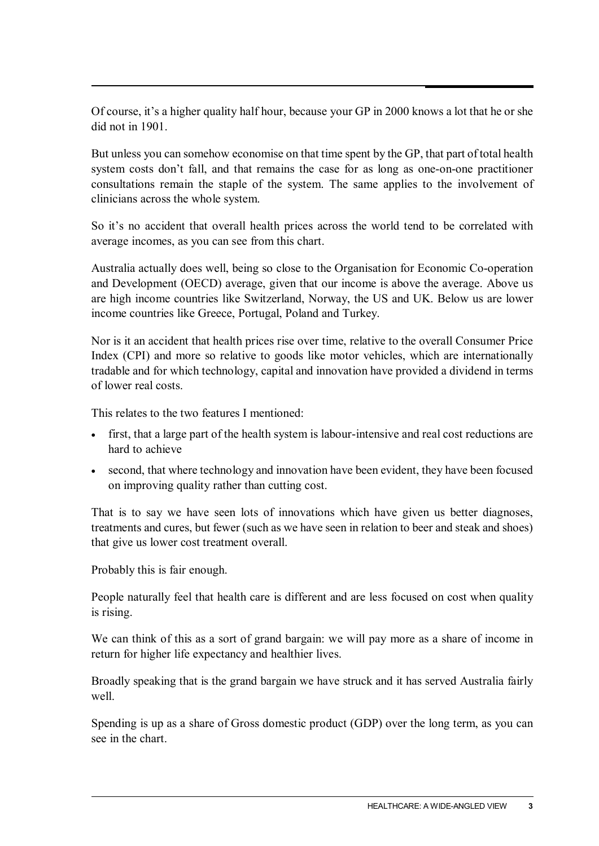Of course, it's a higher quality half hour, because your GP in 2000 knows a lot that he or she did not in 1901.

But unless you can somehow economise on that time spent by the GP, that part of total health system costs don't fall, and that remains the case for as long as one-on-one practitioner consultations remain the staple of the system. The same applies to the involvement of clinicians across the whole system.

So it's no accident that overall health prices across the world tend to be correlated with average incomes, as you can see from this chart.

Australia actually does well, being so close to the Organisation for Economic Co-operation and Development (OECD) average, given that our income is above the average. Above us are high income countries like Switzerland, Norway, the US and UK. Below us are lower income countries like Greece, Portugal, Poland and Turkey.

Nor is it an accident that health prices rise over time, relative to the overall Consumer Price Index (CPI) and more so relative to goods like motor vehicles, which are internationally tradable and for which technology, capital and innovation have provided a dividend in terms of lower real costs.

This relates to the two features I mentioned:

- first, that a large part of the health system is labour-intensive and real cost reductions are hard to achieve
- second, that where technology and innovation have been evident, they have been focused on improving quality rather than cutting cost.

That is to say we have seen lots of innovations which have given us better diagnoses, treatments and cures, but fewer (such as we have seen in relation to beer and steak and shoes) that give us lower cost treatment overall.

Probably this is fair enough.

People naturally feel that health care is different and are less focused on cost when quality is rising.

We can think of this as a sort of grand bargain: we will pay more as a share of income in return for higher life expectancy and healthier lives.

Broadly speaking that is the grand bargain we have struck and it has served Australia fairly well.

Spending is up as a share of Gross domestic product (GDP) over the long term, as you can see in the chart.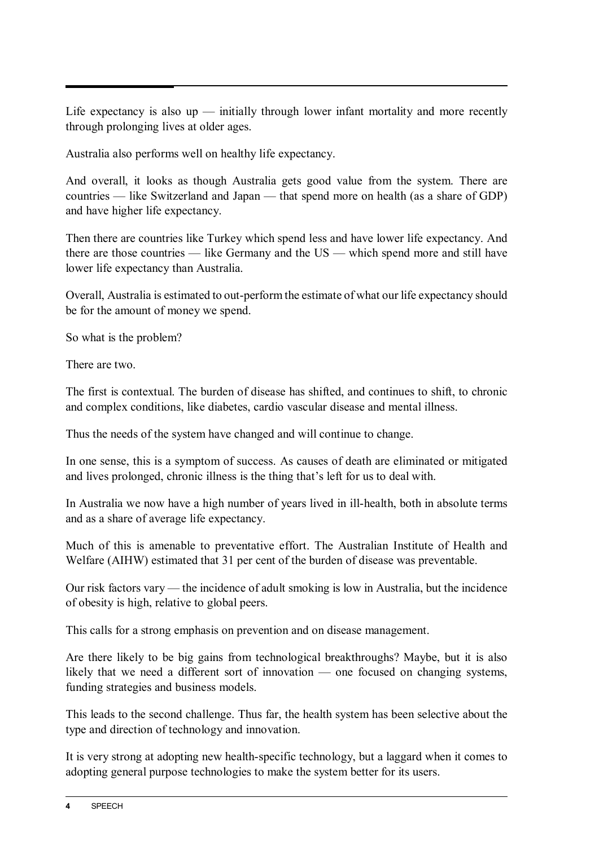Life expectancy is also  $up$  — initially through lower infant mortality and more recently through prolonging lives at older ages.

Australia also performs well on healthy life expectancy.

And overall, it looks as though Australia gets good value from the system. There are countries — like Switzerland and Japan — that spend more on health (as a share of GDP) and have higher life expectancy.

Then there are countries like Turkey which spend less and have lower life expectancy. And there are those countries — like Germany and the US — which spend more and still have lower life expectancy than Australia.

Overall, Australia is estimated to out-perform the estimate of what our life expectancy should be for the amount of money we spend.

So what is the problem?

There are two.

The first is contextual. The burden of disease has shifted, and continues to shift, to chronic and complex conditions, like diabetes, cardio vascular disease and mental illness.

Thus the needs of the system have changed and will continue to change.

In one sense, this is a symptom of success. As causes of death are eliminated or mitigated and lives prolonged, chronic illness is the thing that's left for us to deal with.

In Australia we now have a high number of years lived in ill-health, both in absolute terms and as a share of average life expectancy.

Much of this is amenable to preventative effort. The Australian Institute of Health and Welfare (AIHW) estimated that 31 per cent of the burden of disease was preventable.

Our risk factors vary — the incidence of adult smoking is low in Australia, but the incidence of obesity is high, relative to global peers.

This calls for a strong emphasis on prevention and on disease management.

Are there likely to be big gains from technological breakthroughs? Maybe, but it is also likely that we need a different sort of innovation — one focused on changing systems, funding strategies and business models.

This leads to the second challenge. Thus far, the health system has been selective about the type and direction of technology and innovation.

It is very strong at adopting new health-specific technology, but a laggard when it comes to adopting general purpose technologies to make the system better for its users.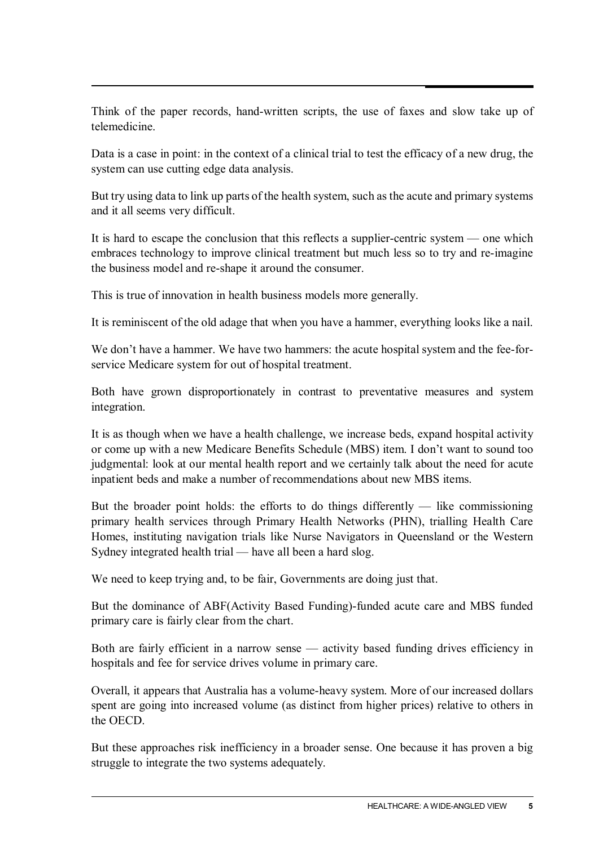Think of the paper records, hand-written scripts, the use of faxes and slow take up of telemedicine.

Data is a case in point: in the context of a clinical trial to test the efficacy of a new drug, the system can use cutting edge data analysis.

But try using data to link up parts of the health system, such as the acute and primary systems and it all seems very difficult.

It is hard to escape the conclusion that this reflects a supplier-centric system — one which embraces technology to improve clinical treatment but much less so to try and re-imagine the business model and re-shape it around the consumer.

This is true of innovation in health business models more generally.

It is reminiscent of the old adage that when you have a hammer, everything looks like a nail.

We don't have a hammer. We have two hammers: the acute hospital system and the fee-forservice Medicare system for out of hospital treatment.

Both have grown disproportionately in contrast to preventative measures and system integration.

It is as though when we have a health challenge, we increase beds, expand hospital activity or come up with a new Medicare Benefits Schedule (MBS) item. I don't want to sound too judgmental: look at our mental health report and we certainly talk about the need for acute inpatient beds and make a number of recommendations about new MBS items.

But the broader point holds: the efforts to do things differently  $-$  like commissioning primary health services through Primary Health Networks (PHN), trialling Health Care Homes, instituting navigation trials like Nurse Navigators in Queensland or the Western Sydney integrated health trial — have all been a hard slog.

We need to keep trying and, to be fair, Governments are doing just that.

But the dominance of ABF(Activity Based Funding)-funded acute care and MBS funded primary care is fairly clear from the chart.

Both are fairly efficient in a narrow sense — activity based funding drives efficiency in hospitals and fee for service drives volume in primary care.

Overall, it appears that Australia has a volume-heavy system. More of our increased dollars spent are going into increased volume (as distinct from higher prices) relative to others in the OECD.

But these approaches risk inefficiency in a broader sense. One because it has proven a big struggle to integrate the two systems adequately.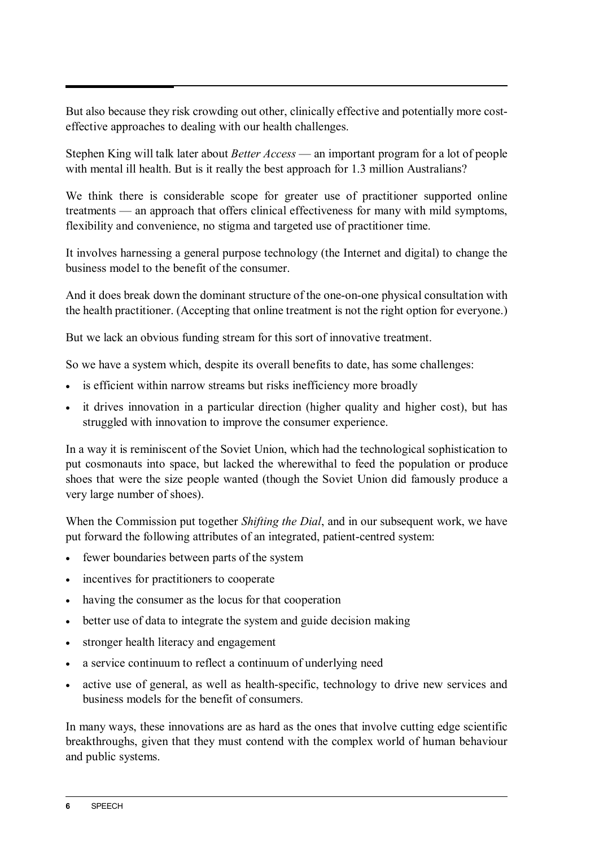But also because they risk crowding out other, clinically effective and potentially more costeffective approaches to dealing with our health challenges.

Stephen King will talk later about *Better Access* — an important program for a lot of people with mental ill health. But is it really the best approach for 1.3 million Australians?

We think there is considerable scope for greater use of practitioner supported online treatments — an approach that offers clinical effectiveness for many with mild symptoms, flexibility and convenience, no stigma and targeted use of practitioner time.

It involves harnessing a general purpose technology (the Internet and digital) to change the business model to the benefit of the consumer.

And it does break down the dominant structure of the one-on-one physical consultation with the health practitioner. (Accepting that online treatment is not the right option for everyone.)

But we lack an obvious funding stream for this sort of innovative treatment.

So we have a system which, despite its overall benefits to date, has some challenges:

- is efficient within narrow streams but risks inefficiency more broadly
- it drives innovation in a particular direction (higher quality and higher cost), but has struggled with innovation to improve the consumer experience.

In a way it is reminiscent of the Soviet Union, which had the technological sophistication to put cosmonauts into space, but lacked the wherewithal to feed the population or produce shoes that were the size people wanted (though the Soviet Union did famously produce a very large number of shoes).

When the Commission put together *Shifting the Dial*, and in our subsequent work, we have put forward the following attributes of an integrated, patient-centred system:

- fewer boundaries between parts of the system
- incentives for practitioners to cooperate
- having the consumer as the locus for that cooperation
- better use of data to integrate the system and guide decision making
- stronger health literacy and engagement
- a service continuum to reflect a continuum of underlying need
- active use of general, as well as health-specific, technology to drive new services and business models for the benefit of consumers.

In many ways, these innovations are as hard as the ones that involve cutting edge scientific breakthroughs, given that they must contend with the complex world of human behaviour and public systems.